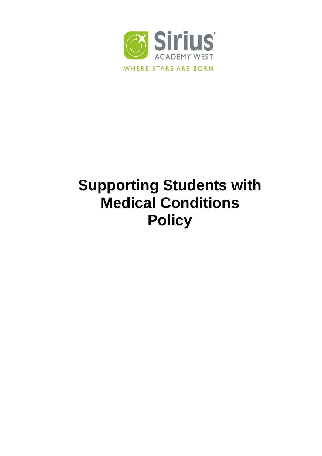

# **Supporting Students with Medical Conditions Policy**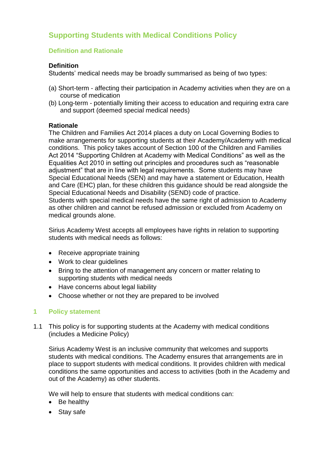# **Supporting Students with Medical Conditions Policy**

## **Definition and Rationale**

## **Definition**

Students' medical needs may be broadly summarised as being of two types:

- (a) Short-term affecting their participation in Academy activities when they are on a course of medication
- (b) Long-term potentially limiting their access to education and requiring extra care and support (deemed special medical needs)

#### **Rationale**

The Children and Families Act 2014 places a duty on Local Governing Bodies to make arrangements for supporting students at their Academy/Academy with medical conditions. This policy takes account of Section 100 of the Children and Families Act 2014 "Supporting Children at Academy with Medical Conditions" as well as the Equalities Act 2010 in setting out principles and procedures such as "reasonable adjustment" that are in line with legal requirements. Some students may have Special Educational Needs (SEN) and may have a statement or Education, Health and Care (EHC) plan, for these children this guidance should be read alongside the Special Educational Needs and Disability (SEND) code of practice. Students with special medical needs have the same right of admission to Academy as other children and cannot be refused admission or excluded from Academy on medical grounds alone.

Sirius Academy West accepts all employees have rights in relation to supporting students with medical needs as follows:

- Receive appropriate training
- Work to clear guidelines
- Bring to the attention of management any concern or matter relating to supporting students with medical needs
- Have concerns about legal liability
- Choose whether or not they are prepared to be involved

# **1 Policy statement**

1.1 This policy is for supporting students at the Academy with medical conditions (includes a Medicine Policy)

Sirius Academy West is an inclusive community that welcomes and supports students with medical conditions. The Academy ensures that arrangements are in place to support students with medical conditions. It provides children with medical conditions the same opportunities and access to activities (both in the Academy and out of the Academy) as other students.

We will help to ensure that students with medical conditions can:

- Be healthy
- Stay safe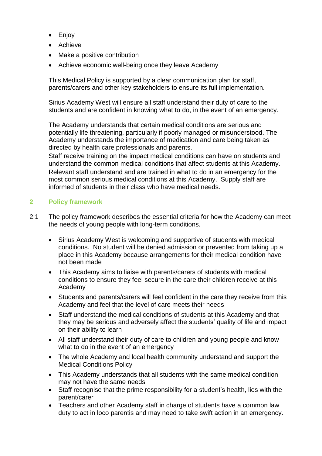- Enjoy
- Achieve
- Make a positive contribution
- Achieve economic well-being once they leave Academy

This Medical Policy is supported by a clear communication plan for staff, parents/carers and other key stakeholders to ensure its full implementation.

Sirius Academy West will ensure all staff understand their duty of care to the students and are confident in knowing what to do, in the event of an emergency.

The Academy understands that certain medical conditions are serious and potentially life threatening, particularly if poorly managed or misunderstood. The Academy understands the importance of medication and care being taken as directed by health care professionals and parents.

Staff receive training on the impact medical conditions can have on students and understand the common medical conditions that affect students at this Academy. Relevant staff understand and are trained in what to do in an emergency for the most common serious medical conditions at this Academy. Supply staff are informed of students in their class who have medical needs.

# **2 Policy framework**

- 2.1 The policy framework describes the essential criteria for how the Academy can meet the needs of young people with long-term conditions.
	- Sirius Academy West is welcoming and supportive of students with medical conditions. No student will be denied admission or prevented from taking up a place in this Academy because arrangements for their medical condition have not been made
	- This Academy aims to liaise with parents/carers of students with medical conditions to ensure they feel secure in the care their children receive at this Academy
	- Students and parents/carers will feel confident in the care they receive from this Academy and feel that the level of care meets their needs
	- Staff understand the medical conditions of students at this Academy and that they may be serious and adversely affect the students' quality of life and impact on their ability to learn
	- All staff understand their duty of care to children and young people and know what to do in the event of an emergency
	- The whole Academy and local health community understand and support the Medical Conditions Policy
	- This Academy understands that all students with the same medical condition may not have the same needs
	- Staff recognise that the prime responsibility for a student's health, lies with the parent/carer
	- Teachers and other Academy staff in charge of students have a common law duty to act in loco parentis and may need to take swift action in an emergency.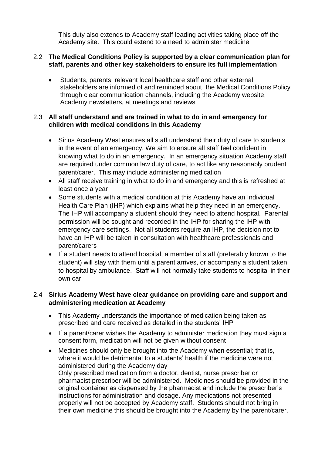This duty also extends to Academy staff leading activities taking place off the Academy site. This could extend to a need to administer medicine

#### 2.2 **The Medical Conditions Policy is supported by a clear communication plan for staff, parents and other key stakeholders to ensure its full implementation**

 Students, parents, relevant local healthcare staff and other external stakeholders are informed of and reminded about, the Medical Conditions Policy through clear communication channels, including the Academy website, Academy newsletters, at meetings and reviews

## 2.3 **All staff understand and are trained in what to do in and emergency for children with medical conditions in this Academy**

- Sirius Academy West ensures all staff understand their duty of care to students in the event of an emergency. We aim to ensure all staff feel confident in knowing what to do in an emergency. In an emergency situation Academy staff are required under common law duty of care, to act like any reasonably prudent parent/carer. This may include administering medication
- All staff receive training in what to do in and emergency and this is refreshed at least once a year
- Some students with a medical condition at this Academy have an Individual Health Care Plan (IHP) which explains what help they need in an emergency. The IHP will accompany a student should they need to attend hospital. Parental permission will be sought and recorded in the IHP for sharing the IHP with emergency care settings. Not all students require an IHP, the decision not to have an IHP will be taken in consultation with healthcare professionals and parent/carers
- If a student needs to attend hospital, a member of staff (preferably known to the student) will stay with them until a parent arrives, or accompany a student taken to hospital by ambulance. Staff will not normally take students to hospital in their own car

#### 2.4 **Sirius Academy West have clear guidance on providing care and support and administering medication at Academy**

- This Academy understands the importance of medication being taken as prescribed and care received as detailed in the students' IHP
- If a parent/carer wishes the Academy to administer medication they must sign a consent form, medication will not be given without consent
- Medicines should only be brought into the Academy when essential; that is, where it would be detrimental to a students' health if the medicine were not administered during the Academy day Only prescribed medication from a doctor, dentist, nurse prescriber or pharmacist prescriber will be administered. Medicines should be provided in the original container as dispensed by the pharmacist and include the prescriber's instructions for administration and dosage. Any medications not presented properly will not be accepted by Academy staff. Students should not bring in their own medicine this should be brought into the Academy by the parent/carer.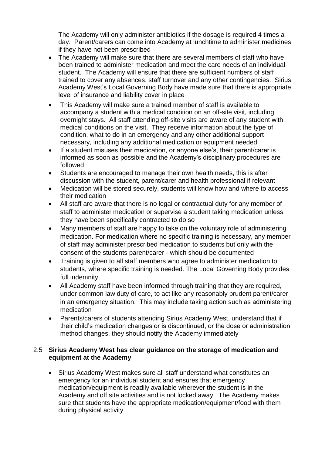The Academy will only administer antibiotics if the dosage is required 4 times a day. Parent/carers can come into Academy at lunchtime to administer medicines if they have not been prescribed

- The Academy will make sure that there are several members of staff who have been trained to administer medication and meet the care needs of an individual student. The Academy will ensure that there are sufficient numbers of staff trained to cover any absences, staff turnover and any other contingencies. Sirius Academy West's Local Governing Body have made sure that there is appropriate level of insurance and liability cover in place
- This Academy will make sure a trained member of staff is available to accompany a student with a medical condition on an off-site visit, including overnight stays. All staff attending off-site visits are aware of any student with medical conditions on the visit. They receive information about the type of condition, what to do in an emergency and any other additional support necessary, including any additional medication or equipment needed
- If a student misuses their medication, or anyone else's, their parent/carer is informed as soon as possible and the Academy's disciplinary procedures are followed
- Students are encouraged to manage their own health needs, this is after discussion with the student, parent/carer and health professional if relevant
- Medication will be stored securely, students will know how and where to access their medication
- All staff are aware that there is no legal or contractual duty for any member of staff to administer medication or supervise a student taking medication unless they have been specifically contracted to do so
- Many members of staff are happy to take on the voluntary role of administering medication. For medication where no specific training is necessary, any member of staff may administer prescribed medication to students but only with the consent of the students parent/carer - which should be documented
- Training is given to all staff members who agree to administer medication to students, where specific training is needed. The Local Governing Body provides full indemnity
- All Academy staff have been informed through training that they are required, under common law duty of care, to act like any reasonably prudent parent/carer in an emergency situation. This may include taking action such as administering medication
- Parents/carers of students attending Sirius Academy West, understand that if their child's medication changes or is discontinued, or the dose or administration method changes, they should notify the Academy immediately

#### 2.5 **Sirius Academy West has clear guidance on the storage of medication and equipment at the Academy**

 Sirius Academy West makes sure all staff understand what constitutes an emergency for an individual student and ensures that emergency medication/equipment is readily available wherever the student is in the Academy and off site activities and is not locked away. The Academy makes sure that students have the appropriate medication/equipment/food with them during physical activity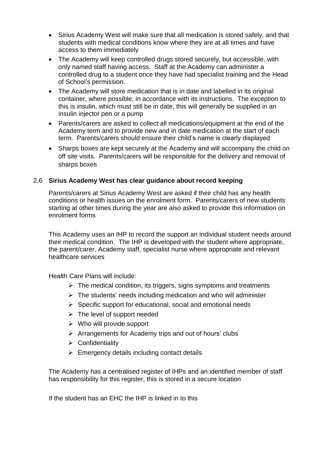- Sirius Academy West will make sure that all medication is stored safely, and that students with medical conditions know where they are at all times and have access to them immediately
- The Academy will keep controlled drugs stored securely, but accessible, with only named staff having access. Staff at the Academy can administer a controlled drug to a student once they have had specialist training and the Head of School's permission.
- The Academy will store medication that is in date and labelled in its original container, where possible, in accordance with its instructions. The exception to this is insulin, which must still be in date, this will generally be supplied in an insulin injector pen or a pump
- Parents/carers are asked to collect all medications/equipment at the end of the Academy term and to provide new and in date medication at the start of each term. Parents/carers should ensure their child's name is clearly displayed
- Sharps boxes are kept securely at the Academy and will accompany the child on off site visits. Parents/carers will be responsible for the delivery and removal of sharps boxes

# 2.6 **Sirius Academy West has clear guidance about record keeping**

Parents/carers at Sirius Academy West are asked if their child has any health conditions or health issues on the enrolment form. Parents/carers of new students starting at other times during the year are also asked to provide this information on enrolment forms

This Academy uses an IHP to record the support an individual student needs around their medical condition. The IHP is developed with the student where appropriate, the parent/carer, Academy staff, specialist nurse where appropriate and relevant healthcare services

Health Care Plans will include:

- $\triangleright$  The medical condition, its triggers, signs symptoms and treatments
- $\triangleright$  The students' needs including medication and who will administer
- $\triangleright$  Specific support for educational, social and emotional needs
- $\triangleright$  The level of support needed
- $\triangleright$  Who will provide support
- $\triangleright$  Arrangements for Academy trips and out of hours' clubs
- $\triangleright$  Confidentiality
- $\triangleright$  Emergency details including contact details

The Academy has a centralised register of IHPs and an identified member of staff has responsibility for this register, this is stored in a secure location

If the student has an EHC the IHP is linked in to this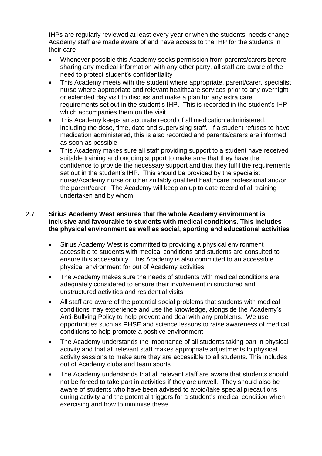IHPs are regularly reviewed at least every year or when the students' needs change. Academy staff are made aware of and have access to the IHP for the students in their care

- Whenever possible this Academy seeks permission from parents/carers before sharing any medical information with any other party, all staff are aware of the need to protect student's confidentiality
- This Academy meets with the student where appropriate, parent/carer, specialist nurse where appropriate and relevant healthcare services prior to any overnight or extended day visit to discuss and make a plan for any extra care requirements set out in the student's IHP. This is recorded in the student's IHP which accompanies them on the visit
- This Academy keeps an accurate record of all medication administered, including the dose, time, date and supervising staff. If a student refuses to have medication administered, this is also recorded and parents/carers are informed as soon as possible
- This Academy makes sure all staff providing support to a student have received suitable training and ongoing support to make sure that they have the confidence to provide the necessary support and that they fulfil the requirements set out in the student's IHP. This should be provided by the specialist nurse/Academy nurse or other suitably qualified healthcare professional and/or the parent/carer. The Academy will keep an up to date record of all training undertaken and by whom

## 2.7 **Sirius Academy West ensures that the whole Academy environment is inclusive and favourable to students with medical conditions. This includes the physical environment as well as social, sporting and educational activities**

- Sirius Academy West is committed to providing a physical environment accessible to students with medical conditions and students are consulted to ensure this accessibility. This Academy is also committed to an accessible physical environment for out of Academy activities
- The Academy makes sure the needs of students with medical conditions are adequately considered to ensure their involvement in structured and unstructured activities and residential visits
- All staff are aware of the potential social problems that students with medical conditions may experience and use the knowledge, alongside the Academy's Anti-Bullying Policy to help prevent and deal with any problems. We use opportunities such as PHSE and science lessons to raise awareness of medical conditions to help promote a positive environment
- The Academy understands the importance of all students taking part in physical activity and that all relevant staff makes appropriate adjustments to physical activity sessions to make sure they are accessible to all students. This includes out of Academy clubs and team sports
- The Academy understands that all relevant staff are aware that students should not be forced to take part in activities if they are unwell. They should also be aware of students who have been advised to avoid/take special precautions during activity and the potential triggers for a student's medical condition when exercising and how to minimise these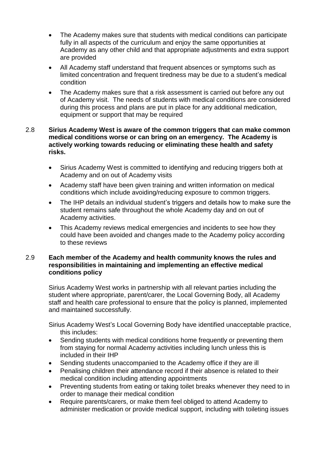- The Academy makes sure that students with medical conditions can participate fully in all aspects of the curriculum and enjoy the same opportunities at Academy as any other child and that appropriate adjustments and extra support are provided
- All Academy staff understand that frequent absences or symptoms such as limited concentration and frequent tiredness may be due to a student's medical condition
- The Academy makes sure that a risk assessment is carried out before any out of Academy visit. The needs of students with medical conditions are considered during this process and plans are put in place for any additional medication, equipment or support that may be required

#### 2.8 **Sirius Academy West is aware of the common triggers that can make common medical conditions worse or can bring on an emergency. The Academy is actively working towards reducing or eliminating these health and safety risks.**

- Sirius Academy West is committed to identifying and reducing triggers both at Academy and on out of Academy visits
- Academy staff have been given training and written information on medical conditions which include avoiding/reducing exposure to common triggers.
- The IHP details an individual student's triggers and details how to make sure the student remains safe throughout the whole Academy day and on out of Academy activities.
- This Academy reviews medical emergencies and incidents to see how they could have been avoided and changes made to the Academy policy according to these reviews

#### 2.9 **Each member of the Academy and health community knows the rules and responsibilities in maintaining and implementing an effective medical conditions policy**

Sirius Academy West works in partnership with all relevant parties including the student where appropriate, parent/carer, the Local Governing Body, all Academy staff and health care professional to ensure that the policy is planned, implemented and maintained successfully.

Sirius Academy West's Local Governing Body have identified unacceptable practice, this includes:

- Sending students with medical conditions home frequently or preventing them from staying for normal Academy activities including lunch unless this is included in their IHP
- Sending students unaccompanied to the Academy office if they are ill
- Penalising children their attendance record if their absence is related to their medical condition including attending appointments
- Preventing students from eating or taking toilet breaks whenever they need to in order to manage their medical condition
- Require parents/carers, or make them feel obliged to attend Academy to administer medication or provide medical support, including with toileting issues